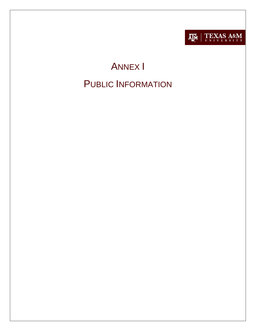

# **ANNEX I PUBLIC INFORMATION**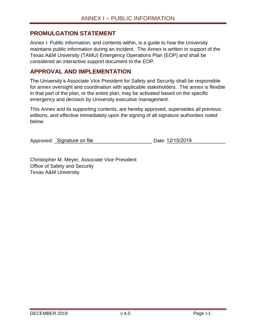#### <span id="page-1-0"></span>**PROMULGATION STATEMENT**

Annex I: Public Information, and contents within, is a guide to how the University maintains public information during an incident. The Annex is written in support of the Texas A&M University (TAMU) Emergency Operations Plan (EOP) and shall be considered an interactive support document to the EOP.

#### <span id="page-1-1"></span>**APPROVAL AND IMPLEMENTATION**

The University's Associate Vice President for Safety and Security shall be responsible for annex oversight and coordination with applicable stakeholders. The annex is flexible in that part of the plan, or the entire plan, may be activated based on the specific emergency and decision by University executive management.

This Annex and its supporting contents, are hereby approved, supersedes all previous editions, and effective immediately upon the signing of all signature authorities noted below.

Approved: \_Signature on file \_\_\_\_\_\_\_\_\_\_\_\_\_\_\_\_\_\_\_\_\_\_\_\_\_\_\_ Date: <u>12/15/2019 \_\_\_\_\_\_</u>\_\_\_\_\_

Christopher M. Meyer, Associate Vice President Office of Safety and Security Texas A&M University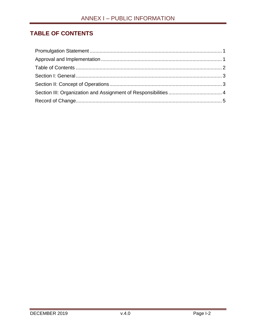# <span id="page-2-0"></span>**TABLE OF CONTENTS**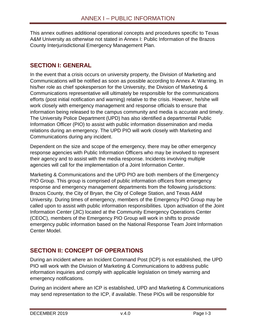This annex outlines additional operational concepts and procedures specific to Texas A&M University as otherwise not stated in Annex I: Public Information of the Brazos County Interjurisdictional Emergency Management Plan.

## <span id="page-3-0"></span>**SECTION I: GENERAL**

In the event that a crisis occurs on university property, the Division of Marketing and Communications will be notified as soon as possible according to Annex A: Warning. In his/her role as chief spokesperson for the University, the Division of Marketing & Communications representative will ultimately be responsible for the communications efforts (post initial notification and warning) relative to the crisis. However, he/she will work closely with emergency management and response officials to ensure that information being released to the campus community and media is accurate and timely. The University Police Department (UPD) has also identified a departmental Public Information Officer (PIO) to assist with public information dissemination and media relations during an emergency. The UPD PIO will work closely with Marketing and Communications during any incident.

Dependent on the size and scope of the emergency, there may be other emergency response agencies with Public Information Officers who may be involved to represent their agency and to assist with the media response. Incidents involving multiple agencies will call for the implementation of a Joint Information Center.

Marketing & Communications and the UPD PIO are both members of the Emergency PIO Group. This group is comprised of public information officers from emergency response and emergency management departments from the following jurisdictions: Brazos County, the City of Bryan, the City of College Station, and Texas A&M University. During times of emergency, members of the Emergency PIO Group may be called upon to assist with public information responsibilities. Upon activation of the Joint Information Center (JIC) located at the Community Emergency Operations Center (CEOC), members of the Emergency PIO Group will work in shifts to provide emergency public information based on the National Response Team Joint Information Center Model.

# <span id="page-3-1"></span>**SECTION II: CONCEPT OF OPERATIONS**

During an incident where an Incident Command Post (ICP) is not established, the UPD PIO will work with the Division of Marketing & Communications to address public information inquiries and comply with applicable legislation on timely warning and emergency notifications.

During an incident where an ICP is established, UPD and Marketing & Communications may send representation to the ICP, if available. These PIOs will be responsible for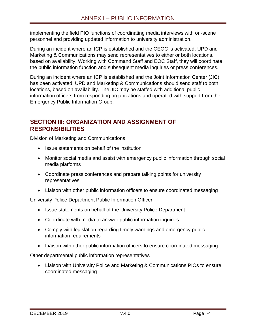implementing the field PIO functions of coordinating media interviews with on-scene personnel and providing updated information to university administration.

During an incident where an ICP is established and the CEOC is activated, UPD and Marketing & Communications may send representatives to either or both locations, based on availability. Working with Command Staff and EOC Staff, they will coordinate the public information function and subsequent media inquiries or press conferences.

During an incident where an ICP is established and the Joint Information Center (JIC) has been activated, UPD and Marketing & Communications should send staff to both locations, based on availability. The JIC may be staffed with additional public information officers from responding organizations and operated with support from the Emergency Public Information Group.

### <span id="page-4-0"></span>**SECTION III: ORGANIZATION AND ASSIGNMENT OF RESPONSIBILITIES**

Division of Marketing and Communications

- Issue statements on behalf of the institution
- Monitor social media and assist with emergency public information through social media platforms
- Coordinate press conferences and prepare talking points for university representatives
- Liaison with other public information officers to ensure coordinated messaging

University Police Department Public Information Officer

- Issue statements on behalf of the University Police Department
- Coordinate with media to answer public information inquiries
- Comply with legislation regarding timely warnings and emergency public information requirements
- Liaison with other public information officers to ensure coordinated messaging

Other departmental public information representatives

 Liaison with University Police and Marketing & Communications PIOs to ensure coordinated messaging